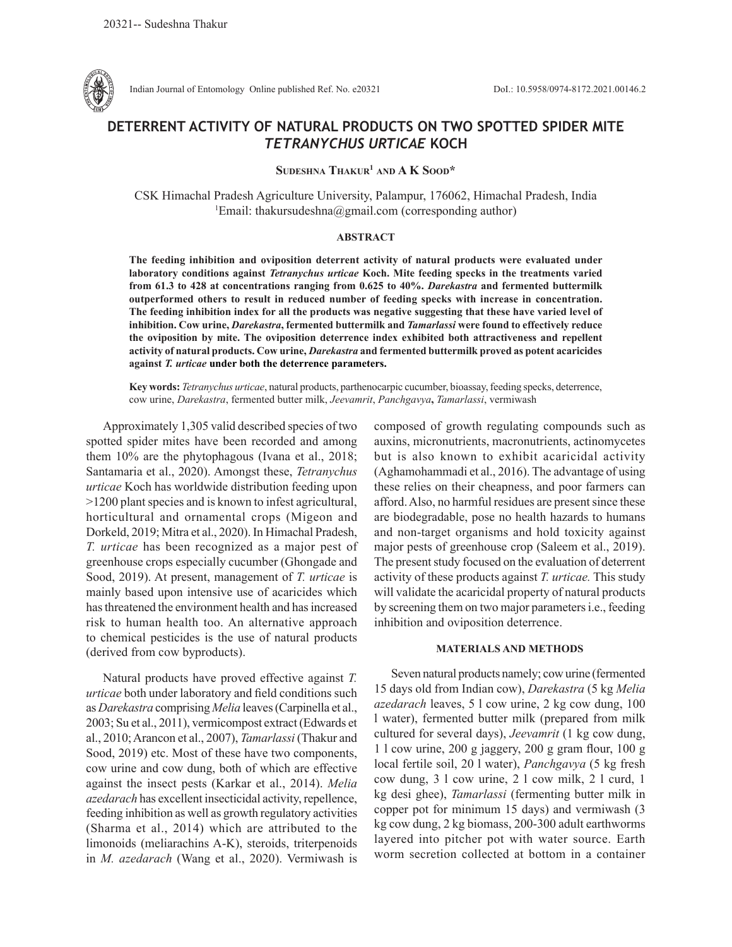

Indian Journal of Entomology Online published Ref. No. e20321 DoI.: 10.5958/0974-8172.2021.00146.2

# **DETERRENT ACTIVITY OF NATURAL PRODUCTS ON TWO SPOTTED SPIDER MITE**  *TETRANYCHUS URTICAE* **KOCH**

**Sudeshna Thakur1 and A K Sood\***

CSK Himachal Pradesh Agriculture University, Palampur, 176062, Himachal Pradesh, India 1 Email: thakursudeshna@gmail.com (corresponding author)

# **ABSTRACT**

**The feeding inhibition and oviposition deterrent activity of natural products were evaluated under laboratory conditions against** *Tetranychus urticae* **Koch. Mite feeding specks in the treatments varied from 61.3 to 428 at concentrations ranging from 0.625 to 40%.** *Darekastra* **and fermented buttermilk outperformed others to result in reduced number of feeding specks with increase in concentration. The feeding inhibition index for all the products was negative suggesting that these have varied level of inhibition. Cow urine,** *Darekastra***, fermented buttermilk and** *Tamarlassi* **were found to effectively reduce the oviposition by mite. The oviposition deterrence index exhibited both attractiveness and repellent activity of natural products. Cow urine,** *Darekastra* **and fermented buttermilk proved as potent acaricides against** *T. urticae* **under both the deterrence parameters.** 

**Key words:** *Tetranychus urticae*, natural products, parthenocarpic cucumber, bioassay, feeding specks, deterrence, cow urine, *Darekastra*, fermented butter milk, *Jeevamrit*, *Panchgavya***,** *Tamarlassi*, vermiwash

Approximately 1,305 valid described species of two spotted spider mites have been recorded and among them 10% are the phytophagous (Ivana et al., 2018; Santamaria et al., 2020). Amongst these, *Tetranychus urticae* Koch has worldwide distribution feeding upon >1200 plant species and is known to infest agricultural, horticultural and ornamental crops (Migeon and Dorkeld, 2019; Mitra et al., 2020). In Himachal Pradesh, *T. urticae* has been recognized as a major pest of greenhouse crops especially cucumber (Ghongade and Sood, 2019). At present, management of *T. urticae* is mainly based upon intensive use of acaricides which has threatened the environment health and has increased risk to human health too. An alternative approach to chemical pesticides is the use of natural products (derived from cow byproducts).

Natural products have proved effective against *T. urticae* both under laboratory and field conditions such as *Darekastra* comprising *Melia* leaves (Carpinella et al., 2003; Su et al., 2011), vermicompost extract (Edwards et al., 2010; Arancon et al., 2007), *Tamarlassi* (Thakur and Sood, 2019) etc. Most of these have two components, cow urine and cow dung, both of which are effective against the insect pests (Karkar et al., 2014). *Melia azedarach* has excellent insecticidal activity, repellence, feeding inhibition as well as growth regulatory activities (Sharma et al., 2014) which are attributed to the limonoids (meliarachins A-K), steroids, triterpenoids in *M. azedarach* (Wang et al., 2020). Vermiwash is

composed of growth regulating compounds such as auxins, micronutrients, macronutrients, actinomycetes but is also known to exhibit acaricidal activity (Aghamohammadi et al., 2016). The advantage of using these relies on their cheapness, and poor farmers can afford. Also, no harmful residues are present since these are biodegradable, pose no health hazards to humans and non-target organisms and hold toxicity against major pests of greenhouse crop (Saleem et al., 2019). The present study focused on the evaluation of deterrent activity of these products against *T. urticae.* This study will validate the acaricidal property of natural products by screening them on two major parameters i.e., feeding inhibition and oviposition deterrence.

# **MATERIALS AND METHODS**

Seven natural products namely; cow urine (fermented 15 days old from Indian cow), *Darekastra* (5 kg *Melia azedarach* leaves, 5 l cow urine, 2 kg cow dung, 100 l water), fermented butter milk (prepared from milk cultured for several days), *Jeevamrit* (1 kg cow dung, 1 l cow urine, 200 g jaggery, 200 g gram flour, 100 g local fertile soil, 20 l water), *Panchgavya* (5 kg fresh cow dung, 3 l cow urine, 2 l cow milk, 2 l curd, 1 kg desi ghee), *Tamarlassi* (fermenting butter milk in copper pot for minimum 15 days) and vermiwash (3 kg cow dung, 2 kg biomass, 200-300 adult earthworms layered into pitcher pot with water source. Earth worm secretion collected at bottom in a container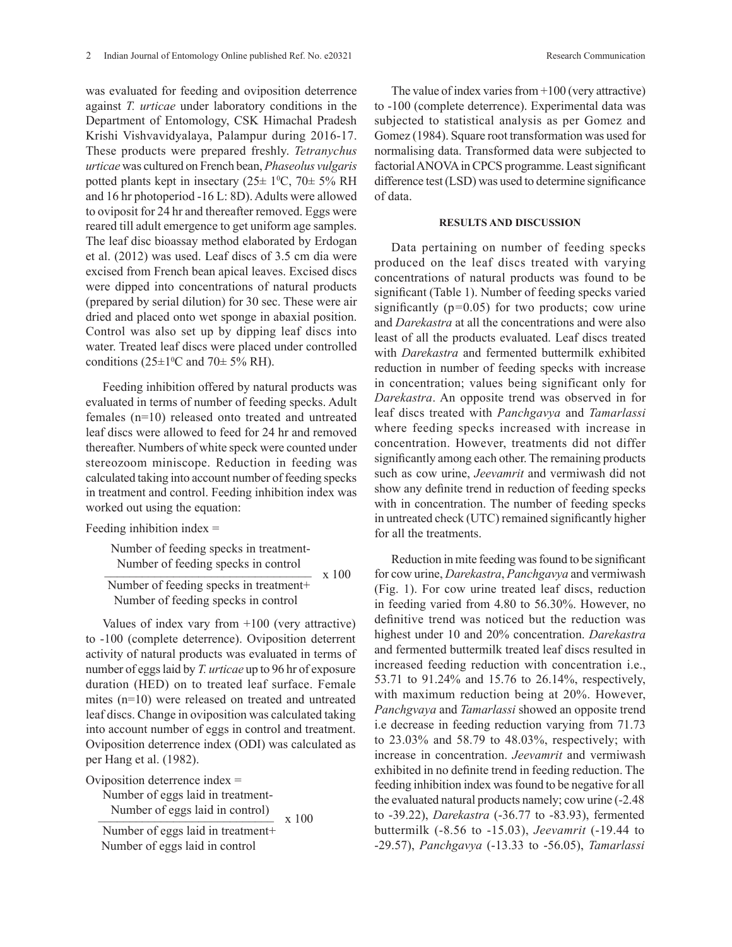was evaluated for feeding and oviposition deterrence against *T. urticae* under laboratory conditions in the Department of Entomology, CSK Himachal Pradesh Krishi Vishvavidyalaya, Palampur during 2016-17. These products were prepared freshly. *Tetranychus urticae* was cultured on French bean, *Phaseolus vulgaris* potted plants kept in insectary  $(25 \pm 1^{\circ}C, 70 \pm 5\% \text{ RH})$ and 16 hr photoperiod -16 L: 8D). Adults were allowed to oviposit for 24 hr and thereafter removed. Eggs were reared till adult emergence to get uniform age samples. The leaf disc bioassay method elaborated by Erdogan et al. (2012) was used. Leaf discs of 3.5 cm dia were excised from French bean apical leaves. Excised discs were dipped into concentrations of natural products (prepared by serial dilution) for 30 sec. These were air dried and placed onto wet sponge in abaxial position. Control was also set up by dipping leaf discs into water. Treated leaf discs were placed under controlled conditions ( $25\pm1$ <sup>o</sup>C and  $70\pm5\%$  RH).

Feeding inhibition offered by natural products was evaluated in terms of number of feeding specks. Adult females (n=10) released onto treated and untreated leaf discs were allowed to feed for 24 hr and removed thereafter. Numbers of white speck were counted under stereozoom miniscope. Reduction in feeding was calculated taking into account number of feeding specks in treatment and control. Feeding inhibition index was worked out using the equation:

Feeding inhibition index =

 Number of feeding specks in treatment- Number of feeding specks in control  $x = 100$ 

 Number of feeding specks in treatment+ Number of feeding specks in control

Values of index vary from +100 (very attractive) to -100 (complete deterrence). Oviposition deterrent activity of natural products was evaluated in terms of number of eggs laid by *T. urticae* up to 96 hr of exposure duration (HED) on to treated leaf surface. Female mites (n=10) were released on treated and untreated leaf discs. Change in oviposition was calculated taking into account number of eggs in control and treatment. Oviposition deterrence index (ODI) was calculated as per Hang et al. (1982).

Oviposition deterrence index =

Number of eggs laid in treatment-

Number of eggs laid in control)  $\times 100$ Number of eggs laid in treatment+ Number of eggs laid in control

The value of index varies from  $+100$  (very attractive) to -100 (complete deterrence). Experimental data was subjected to statistical analysis as per Gomez and Gomez (1984). Square root transformation was used for normalising data. Transformed data were subjected to factorial ANOVA in CPCS programme. Least significant difference test (LSD) was used to determine significance of data.

# **RESULTS AND DISCUSSION**

Data pertaining on number of feeding specks produced on the leaf discs treated with varying concentrations of natural products was found to be significant (Table 1). Number of feeding specks varied significantly (p*=*0.05) for two products; cow urine and *Darekastra* at all the concentrations and were also least of all the products evaluated. Leaf discs treated with *Darekastra* and fermented buttermilk exhibited reduction in number of feeding specks with increase in concentration; values being significant only for *Darekastra*. An opposite trend was observed in for leaf discs treated with *Panchgavya* and *Tamarlassi* where feeding specks increased with increase in concentration. However, treatments did not differ significantly among each other. The remaining products such as cow urine, *Jeevamrit* and vermiwash did not show any definite trend in reduction of feeding specks with in concentration. The number of feeding specks in untreated check (UTC) remained significantly higher for all the treatments.

Reduction in mite feeding was found to be significant for cow urine, *Darekastra*, *Panchgavya* and vermiwash (Fig. 1). For cow urine treated leaf discs, reduction in feeding varied from 4.80 to 56.30%. However, no definitive trend was noticed but the reduction was highest under 10 and 20% concentration. *Darekastra* and fermented buttermilk treated leaf discs resulted in increased feeding reduction with concentration i.e., 53.71 to 91.24% and 15.76 to 26.14%, respectively, with maximum reduction being at 20%. However, *Panchgvaya* and *Tamarlassi* showed an opposite trend i.e decrease in feeding reduction varying from 71.73 to 23.03% and 58.79 to 48.03%, respectively; with increase in concentration. *Jeevamrit* and vermiwash exhibited in no definite trend in feeding reduction. The feeding inhibition index was found to be negative for all the evaluated natural products namely; cow urine (-2.48 to -39.22), *Darekastra* (-36.77 to -83.93), fermented buttermilk (-8.56 to -15.03), *Jeevamrit* (-19.44 to -29.57), *Panchgavya* (-13.33 to -56.05), *Tamarlassi*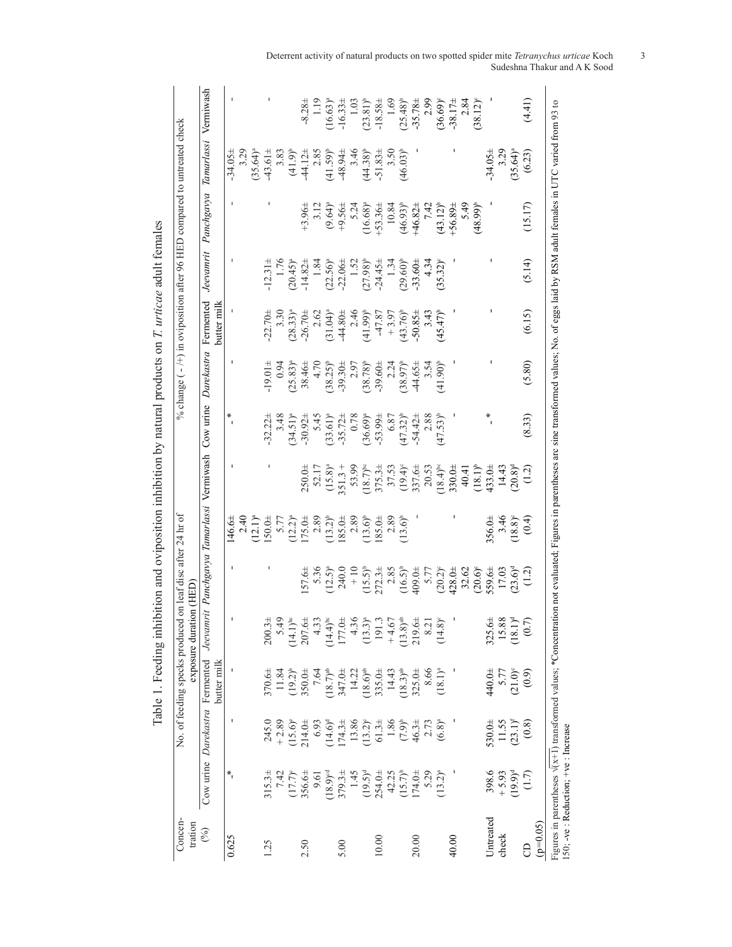| Concen-<br>tration |                                      |                                | No. of feeding specks produced                                          | exposure duration (HED | on leaf disc after 24 hr of                                                                                                       |                                              |                                                               |               |                              |                                 |                                | % change $(-/+)$ in oviposition after 96 HED compared to untreated check                                                              |                    |                        |
|--------------------|--------------------------------------|--------------------------------|-------------------------------------------------------------------------|------------------------|-----------------------------------------------------------------------------------------------------------------------------------|----------------------------------------------|---------------------------------------------------------------|---------------|------------------------------|---------------------------------|--------------------------------|---------------------------------------------------------------------------------------------------------------------------------------|--------------------|------------------------|
| $\mathcal{E}$      |                                      | Cow urine Darekastra Fermented | butter milk                                                             | $Jeev$ am              | rit Panchgavya Tamarlassi Vermiwash                                                                                               |                                              |                                                               | $\cos$ urine  | Darekastra                   | Fermented<br>butter milk        | Jeevannrit                     | Panchgavya                                                                                                                            | Tamarlassi         | Vermiwash              |
| 0.625              | $*$                                  |                                |                                                                         |                        |                                                                                                                                   | $146.6 \pm$                                  |                                                               |               |                              |                                 |                                |                                                                                                                                       | $-34.05 \pm$       |                        |
|                    |                                      |                                |                                                                         |                        |                                                                                                                                   | $2.40$<br>$(12.1)^a$<br>$50.0\pm$            |                                                               |               |                              |                                 |                                |                                                                                                                                       | 3.29               |                        |
|                    |                                      |                                |                                                                         |                        |                                                                                                                                   |                                              |                                                               |               |                              |                                 |                                |                                                                                                                                       | $(35.64)^a$        |                        |
| 1.25               | $315.3+$                             | 245.0                          | $370.6 \pm$                                                             | $200.3 +$              |                                                                                                                                   |                                              |                                                               | $-32.22 +$    | $-19.01 +$                   | $-22.70+$                       | $12.31 \pm$                    |                                                                                                                                       | $43.61 \pm$        |                        |
|                    | 7.42                                 | $+2.89$                        | 11.84                                                                   | 5.49                   |                                                                                                                                   | 5.77                                         |                                                               | 3.48          | 0.94                         | 3.30                            | 1.76                           |                                                                                                                                       | 3.83               |                        |
|                    | $(17.7)^{c}$                         | $(15.6)^{e}$<br>214.0±         | $(19.2)^{b}$                                                            | $(14.1)^{bc}$          |                                                                                                                                   | $(12.2)^a$<br>$175.0\pm$                     |                                                               | $(34.51)^{a}$ | $(25.83)^{a}$                | $(28.33)^{a}$                   | $(20.45)^{a}$                  |                                                                                                                                       | $(41.9)^{t}$       |                        |
| 2.50               | $356.6 \pm$                          |                                | $350.0 +$                                                               | $207.6 \pm$            | 57.6±                                                                                                                             |                                              |                                                               | $-30.92 +$    | 38.46±                       | $-26.70 +$                      | $-14.82 +$                     | $+3.96 \pm$                                                                                                                           | 44.12 <sup>±</sup> | $-8.28 \pm$            |
|                    | 9.61                                 | 6.93                           | 7.64                                                                    | 4.33                   |                                                                                                                                   | 2.89                                         |                                                               | 5.45          | 4.70                         | 2.62                            | 1.84                           | 3.12                                                                                                                                  | 2.85               | 1.19                   |
|                    | $(18.9)$ <sup>od</sup>               | $(14.6)^d$                     | $(18.7)$ <sup>ab</sup>                                                  | $(14.4)^{bc}$          | $5.36$<br>12.5 <sup>a</sup>                                                                                                       | $(13.2)^{b}$                                 | $250.0\pm$<br>52.17<br>52.17<br>(15.8) <sup>a</sup><br>51.3 + | $(33.61)^{a}$ | $(38.25)^{b}$                | $(31.04)^a$                     | $(22.56)^{8}$                  | $(9.64)^{a}$                                                                                                                          | $(41.59)^{b}$      | $(16.63)^a$            |
| 5.00               | $379.3+$                             | 174.3 <sup>±</sup>             |                                                                         | 177.0±                 | 240.0                                                                                                                             |                                              |                                                               | $-35.72+$     | $-39.30 +$                   | $-44.80 +$                      | $-22.06 \pm$                   | $+9.56 \pm$                                                                                                                           | $-48.94 \pm$       | $-16.33 \pm$           |
|                    | 1.45                                 | 13.86                          | 347.0±<br>14.22                                                         | 4.36                   | $\frac{1}{2}$                                                                                                                     |                                              | 53.99                                                         | 0.78          |                              |                                 |                                | 5.24                                                                                                                                  | 3.46               | 1.03                   |
|                    | $(19.5)^d$                           | $(13.2)^{\circ}$               | $(18.6)^{ab}$                                                           | $(13.3)^{a}$           | $(15.5)^{b}$                                                                                                                      | $\frac{185.0+}{2.89}$<br>(13.6) <sup>b</sup> | $(18.7)$ <sup>bc</sup>                                        | $(36.69)^{a}$ | 2.97<br>(38.78) <sup>b</sup> | $(41.99)^b$                     | $1.52$<br>(27.98) <sup>b</sup> | $(16.68)^a$                                                                                                                           | $(44.38)^{b}$      | $(23.81)$ <sup>b</sup> |
| 10.00              | $254.0 +$                            | 61.34                          | 335.0±                                                                  | 191.3                  | $272.3+$                                                                                                                          | 85.0 <sup>±</sup>                            | $375.3+$                                                      | $-53.99\pm$   | $-39.60 \pm$                 | 47.87                           | $-24.45 \pm$                   | $+53.36\pm$                                                                                                                           | $-51.83 \pm$       | $-18.58 \pm$           |
|                    | 42.25                                |                                | 14.43                                                                   | $+4.67$                |                                                                                                                                   | 2.89                                         | 37.53                                                         | 6.87          | 2.24                         |                                 | 1.34                           | 10.84                                                                                                                                 | 3.50               | 1.69                   |
|                    | $(15.7)^{b}$                         | $1.86$<br>(7.9) <sup>b</sup>   | $(18.3)^{ab}$                                                           | $(13.8)^{ab}$          |                                                                                                                                   | $13.6$ <sup>b</sup>                          |                                                               | $(47.32)^{b}$ | $(38.97)$ <sup>b</sup>       | $+3.97$<br>(43.76) <sup>b</sup> | $(29.60)^{b}$                  | $(46.93)^{b}$                                                                                                                         | $(46.03)^{b}$      | $(25.48)$ <sup>b</sup> |
| 20.00              | $174.0 +$                            | 46.3±                          | $325.0\pm$                                                              | $219.6 \pm$            |                                                                                                                                   |                                              |                                                               | $-54.42 \pm$  | $44.65 \pm$                  | $-50.85 \pm$                    | $-33.60 \pm$                   | $+46.82 \pm$                                                                                                                          |                    | $-35.78 \pm$           |
|                    | 5.29                                 |                                |                                                                         | 8.21                   |                                                                                                                                   |                                              |                                                               | 2.88          | 3.54                         | 3.43                            | 4.34                           | 7.42                                                                                                                                  |                    | 2.99                   |
|                    | $(13.2)^a$                           | $2.73$<br>(6.8) <sup>a</sup>   | $(18.1)^a$                                                              | $(14.8)^{\circ}$       | 2.85<br>$(16.5)^{h}$<br>$(16.5)^{h}$<br>$(30.2)^{h}$<br>$(20.3)^{h}$<br>$(30.6)^{h}$<br>$(30.6)^{h}$<br>$(30.6)^{h}$<br>$(17.03)$ |                                              | $(19.4)^6$<br>337.6±<br>20.53<br>20.62<br>18.4) <sup>bc</sup> | $(47.53)^{b}$ | $(41.90)^{b}$                | $(45.47)^{b}$                   | $(35.32)^6$                    | $(43.12)^{b}$                                                                                                                         |                    | $(36.69)^{c}$          |
| 40.00              |                                      |                                |                                                                         |                        |                                                                                                                                   |                                              |                                                               |               |                              |                                 |                                | $+56.89 \pm$                                                                                                                          |                    | $-38.17\pm$            |
|                    |                                      |                                |                                                                         |                        |                                                                                                                                   |                                              | 40.41                                                         |               |                              |                                 |                                | 5.49                                                                                                                                  |                    | 2.84                   |
|                    |                                      |                                |                                                                         |                        |                                                                                                                                   |                                              |                                                               |               |                              |                                 |                                | $(48.99)^{b}$                                                                                                                         |                    | $(38.12)^{o}$          |
| Untreated          | 398.6                                | 530.0±                         | 440.0±                                                                  | $325.6\pm$             |                                                                                                                                   |                                              | $(18.1)^{b}$<br>433.0±                                        |               |                              |                                 |                                |                                                                                                                                       | $-34.05 \pm$       |                        |
| check              | $+ 5.93$                             | 11.55                          | 5.77                                                                    | 15.88                  |                                                                                                                                   | $356.0+$<br>$3.46$<br>$(18.8)^\circ$         | 14.43                                                         |               |                              |                                 |                                |                                                                                                                                       | 3.29               |                        |
|                    | $(19.9)^d$                           | $(23.1)^{f}$                   | $(21.0)$ <sup>c</sup>                                                   | $(18.1)^d$             |                                                                                                                                   |                                              | (8.02)                                                        |               |                              |                                 |                                |                                                                                                                                       | $(35.64)^{a}$      |                        |
| 8                  | (1.7)                                | (0.8)                          | (0.9)                                                                   | (0.7)                  | $(1.2)$ <sup>d</sup>                                                                                                              | (0.4)                                        | (1.2)                                                         | (8.33)        | (5.80)                       | (6.15)                          | (5.14)                         | (15.17)                                                                                                                               | (6.23)             | (4.41)                 |
| $(p=0.05)$         |                                      |                                |                                                                         |                        |                                                                                                                                   |                                              |                                                               |               |                              |                                 |                                |                                                                                                                                       |                    |                        |
|                    | 150; -ve : Reduction; +ve : Increase |                                | Figures in parentheses $\sqrt{x+1}$ transformed values; *Concentration- |                        |                                                                                                                                   |                                              |                                                               |               |                              |                                 |                                | ion not evaluated; Figures in parentheses arc sine transformed values; No. of eggs laid by RSM adult females in UTC varied from 93 to |                    |                        |

Table 1. Feeding inhibition and oviposition inhibition by natural products on T. urticae adult females Table 1. Feeding inhibition and oviposition inhibition by natural products on *T. urticae* adult females

Deterrent activity of natural products on two spotted spider mite *Tetranychus urticae* Koch 3 Sudeshna Thakur and A K Sood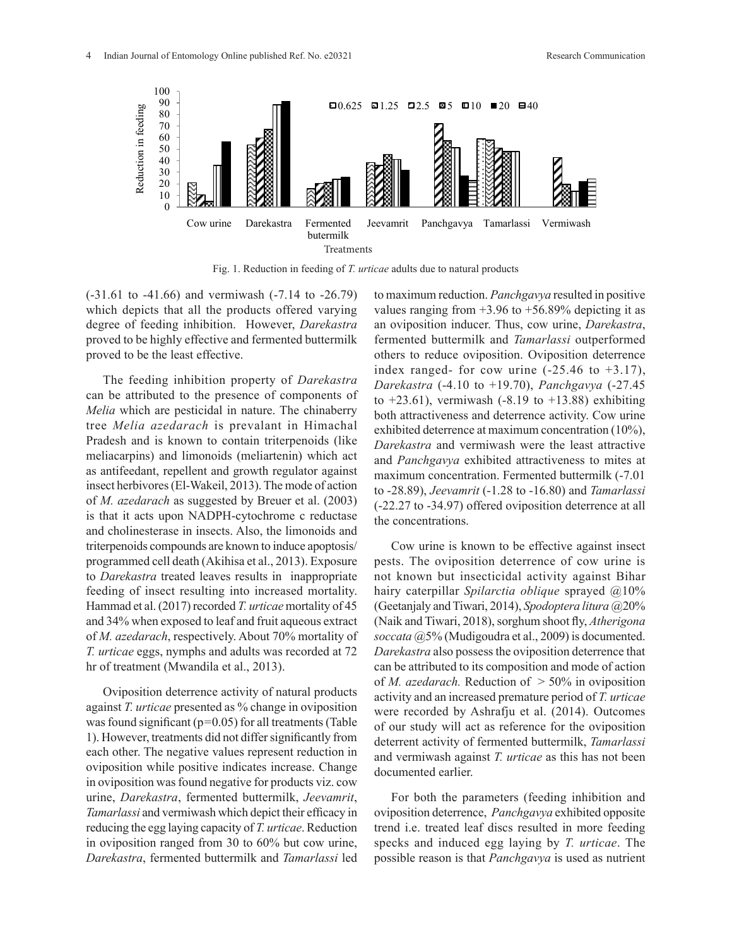

Fig. 1. Reduction in feeding of *T. urticae* adults due to natural products  $\overline{a}$ 

(-31.61 to -41.66) and vermiwash (-7.14 to -26.79) which depicts that all the products offered varying degree of feeding inhibition. However, *Darekastra* proved to be highly effective and fermented buttermilk proved to be the least effective.

The feeding inhibition property of *Darekastra* can be attributed to the presence of components of *Melia* which are pesticidal in nature. The chinaberry tree *Melia azedarach* is prevalant in Himachal Pradesh and is known to contain triterpenoids (like meliacarpins) and limonoids (meliartenin) which act as antifeedant, repellent and growth regulator against insect herbivores (El-Wakeil, 2013). The mode of action of *M. azedarach* as suggested by Breuer et al. (2003) is that it acts upon NADPH-cytochrome c reductase and cholinesterase in insects. Also, the limonoids and triterpenoids compounds are known to induce apoptosis/ programmed cell death (Akihisa et al., 2013). Exposure to *Darekastra* treated leaves results in inappropriate feeding of insect resulting into increased mortality. Hammad et al. (2017) recorded *T. urticae* mortality of 45 and 34% when exposed to leaf and fruit aqueous extract of *M. azedarach*, respectively. About 70% mortality of *T. urticae* eggs, nymphs and adults was recorded at 72 hr of treatment (Mwandila et al., 2013).

Oviposition deterrence activity of natural products against *T. urticae* presented as % change in oviposition was found significant (p*=*0.05) for all treatments (Table 1). However, treatments did not differ significantly from each other. The negative values represent reduction in oviposition while positive indicates increase. Change in oviposition was found negative for products viz. cow urine, *Darekastra*, fermented buttermilk, *Jeevamrit*, *Tamarlassi* and vermiwash which depict their efficacy in reducing the egg laying capacity of *T. urticae*. Reduction in oviposition ranged from 30 to 60% but cow urine, *Darekastra*, fermented buttermilk and *Tamarlassi* led to maximum reduction. *Panchgavya* resulted in positive values ranging from  $+3.96$  to  $+56.89\%$  depicting it as an oviposition inducer. Thus, cow urine, *Darekastra*, fermented buttermilk and *Tamarlassi* outperformed others to reduce oviposition. Oviposition deterrence index ranged- for cow urine  $(-25.46 \text{ to } +3.17)$ , *Darekastra* (-4.10 to +19.70), *Panchgavya* (-27.45 to  $+23.61$ ), vermiwash (-8.19 to  $+13.88$ ) exhibiting both attractiveness and deterrence activity. Cow urine exhibited deterrence at maximum concentration (10%), *Darekastra* and vermiwash were the least attractive and *Panchgavya* exhibited attractiveness to mites at maximum concentration. Fermented buttermilk (-7.01 to -28.89), *Jeevamrit* (-1.28 to -16.80) and *Tamarlassi* (-22.27 to -34.97) offered oviposition deterrence at all the concentrations.

Cow urine is known to be effective against insect pests. The oviposition deterrence of cow urine is not known but insecticidal activity against Bihar hairy caterpillar *Spilarctia oblique* sprayed @10% (Geetanjaly and Tiwari, 2014), *Spodoptera litura* @20% (Naik and Tiwari, 2018), sorghum shoot fly, *Atherigona soccata* @5% (Mudigoudra et al., 2009) is documented. *Darekastra* also possess the oviposition deterrence that can be attributed to its composition and mode of action of *M. azedarach.* Reduction of > 50% in oviposition activity and an increased premature period of *T. urticae* were recorded by Ashrafju et al. (2014). Outcomes of our study will act as reference for the oviposition deterrent activity of fermented buttermilk, *Tamarlassi* and vermiwash against *T. urticae* as this has not been documented earlier.

For both the parameters (feeding inhibition and oviposition deterrence, *Panchgavya* exhibited opposite trend i.e. treated leaf discs resulted in more feeding specks and induced egg laying by *T. urticae*. The possible reason is that *Panchgavya* is used as nutrient